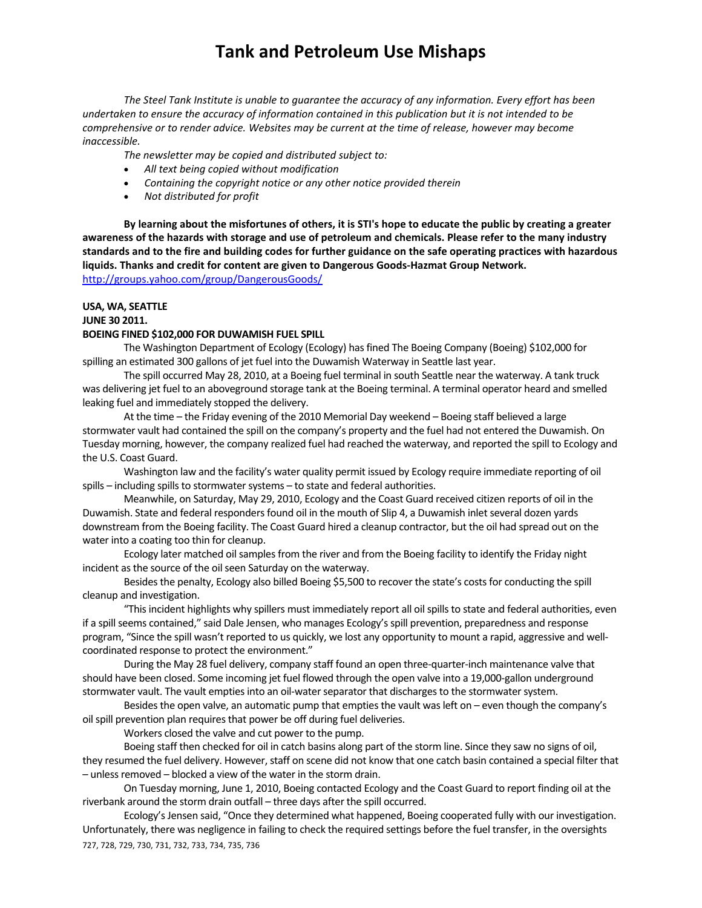*The Steel Tank Institute is unable to guarantee the accuracy of any information. Every effort has been* undertaken to ensure the accuracy of information contained in this publication but it is not intended to be *comprehensive or to render advice. Websites may be current at the time of release, however may become inaccessible.*

*The newsletter may be copied and distributed subject to:*

- *All text being copied without modification*
- *Containing the copyright notice or any other notice provided therein*
- *Not distributed for profit*

By learning about the misfortunes of others, it is STI's hope to educate the public by creating a greater awareness of the hazards with storage and use of petroleum and chemicals. Please refer to the many industry standards and to the fire and building codes for further guidance on the safe operating practices with hazardous **liquids. Thanks and credit for content are given to Dangerous Goods‐Hazmat Group Network.**  http://groups.yahoo.com/group/DangerousGoods/

#### **USA, WA, SEATTLE**

#### **JUNE 30 2011.**

#### **BOEING FINED \$102,000 FOR DUWAMISH FUEL SPILL**

The Washington Department of Ecology (Ecology) has fined The Boeing Company (Boeing) \$102,000 for spilling an estimated 300 gallons of jet fuel into the Duwamish Waterway in Seattle last year.

The spill occurred May 28, 2010, at a Boeing fuel terminal in south Seattle near the waterway. A tank truck was delivering jet fuel to an aboveground storage tank at the Boeing terminal. A terminal operator heard and smelled leaking fuel and immediately stopped the delivery.

At the time – the Friday evening of the 2010 Memorial Day weekend – Boeing staff believed a large stormwater vault had contained the spill on the company's property and the fuel had not entered the Duwamish. On Tuesday morning, however, the company realized fuel had reached the waterway, and reported the spill to Ecology and the U.S. Coast Guard.

Washington law and the facility's water quality permit issued by Ecology require immediate reporting of oil spills – including spills to stormwater systems – to state and federal authorities.

Meanwhile, on Saturday, May 29, 2010, Ecology and the Coast Guard received citizen reports of oil in the Duwamish. State and federal responders found oil in the mouth of Slip 4, a Duwamish inlet several dozen yards downstream from the Boeing facility. The Coast Guard hired a cleanup contractor, but the oil had spread out on the water into a coating too thin for cleanup.

Ecology later matched oil samples from the river and from the Boeing facility to identify the Friday night incident as the source of the oil seen Saturday on the waterway.

Besides the penalty, Ecology also billed Boeing \$5,500 to recover the state's costs for conducting the spill cleanup and investigation.

"This incident highlights why spillers must immediately report all oil spills to state and federal authorities, even if a spill seems contained," said Dale Jensen, who manages Ecology's spill prevention, preparedness and response program, "Since the spill wasn't reported to us quickly, we lost any opportunity to mount a rapid, aggressive and wellcoordinated response to protect the environment."

During the May 28 fuel delivery, company staff found an open three‐quarter‐inch maintenance valve that should have been closed. Some incoming jet fuel flowed through the open valve into a 19,000‐gallon underground stormwater vault. The vault empties into an oil-water separator that discharges to the stormwater system.

Besides the open valve, an automatic pump that empties the vault was left on – even though the company's oil spill prevention plan requires that power be off during fuel deliveries.

Workers closed the valve and cut power to the pump.

Boeing staff then checked for oil in catch basins along part of the storm line. Since they saw no signs of oil, they resumed the fuel delivery. However, staff on scene did not know that one catch basin contained a special filter that  $-$  unless removed  $-$  blocked a view of the water in the storm drain.

On Tuesday morning, June 1, 2010, Boeing contacted Ecology and the Coast Guard to report finding oil at the riverbank around the storm drain outfall – three days after the spill occurred.

727, 728, 729, 730, 731, 732, 733, 734, 735, 736 Ecology's Jensen said, "Once they determined what happened, Boeing cooperated fully with our investigation. Unfortunately, there was negligence in failing to check the required settings before the fuel transfer, in the oversights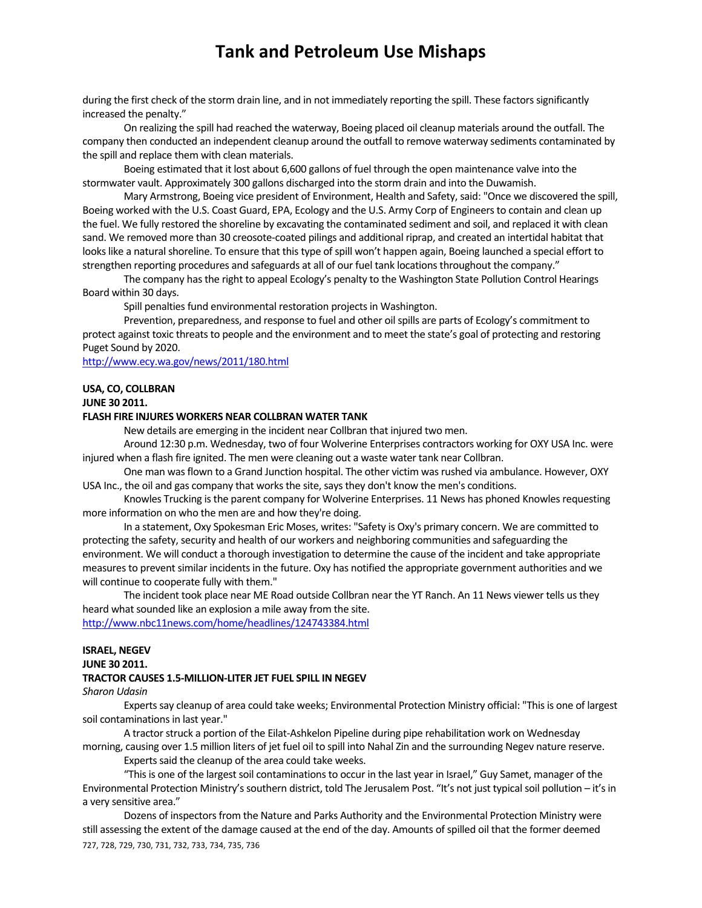during the first check of the storm drain line, and in not immediately reporting the spill. These factors significantly increased the penalty."

On realizing the spill had reached the waterway, Boeing placed oil cleanup materials around the outfall. The company then conducted an independent cleanup around the outfall to remove waterway sediments contaminated by the spill and replace them with clean materials.

Boeing estimated that it lost about 6,600 gallons of fuel through the open maintenance valve into the stormwater vault. Approximately 300 gallons discharged into the storm drain and into the Duwamish.

Mary Armstrong, Boeing vice president of Environment, Health and Safety, said: "Once we discovered the spill, Boeing worked with the U.S. Coast Guard, EPA, Ecology and the U.S. Army Corp of Engineersto contain and clean up the fuel. We fully restored the shoreline by excavating the contaminated sediment and soil, and replaced it with clean sand. We removed more than 30 creosote‐coated pilings and additional riprap, and created an intertidal habitat that looks like a natural shoreline. To ensure that this type of spill won't happen again, Boeing launched a special effort to strengthen reporting procedures and safeguards at all of our fuel tank locations throughout the company."

The company hasthe right to appeal Ecology's penalty to the Washington State Pollution Control Hearings Board within 30 days.

Spill penalties fund environmental restoration projects in Washington.

Prevention, preparedness, and response to fuel and other oil spills are parts of Ecology's commitment to protect against toxic threats to people and the environment and to meet the state's goal of protecting and restoring Puget Sound by 2020.

http://www.ecy.wa.gov/news/2011/180.html

## **USA, CO, COLLBRAN**

## **JUNE 30 2011.**

### **FLASH FIRE INJURES WORKERS NEAR COLLBRAN WATER TANK**

New details are emerging in the incident near Collbran that injured two men.

Around 12:30 p.m. Wednesday, two of four Wolverine Enterprises contractors working for OXY USA Inc. were injured when a flash fire ignited. The men were cleaning out a waste water tank near Collbran.

One man was flown to a Grand Junction hospital. The other victim was rushed via ambulance. However, OXY USA Inc., the oil and gas company that works the site, says they don't know the men's conditions.

Knowles Trucking is the parent company for Wolverine Enterprises. 11 News has phoned Knowles requesting more information on who the men are and how they're doing.

In a statement, Oxy Spokesman Eric Moses, writes: "Safety is Oxy's primary concern. We are committed to protecting the safety, security and health of our workers and neighboring communities and safeguarding the environment. We will conduct a thorough investigation to determine the cause of the incident and take appropriate measures to prevent similar incidents in the future. Oxy has notified the appropriate government authorities and we will continue to cooperate fully with them."

The incident took place near ME Road outside Collbran near the YT Ranch. An 11 News viewer tells usthey heard what sounded like an explosion a mile away from the site.

http://www.nbc11news.com/home/headlines/124743384.html

### **ISRAEL, NEGEV JUNE 30 2011. TRACTOR CAUSES 1.5‐MILLION‐LITER JET FUEL SPILL IN NEGEV** *Sharon Udasin*

Expertssay cleanup of area could take weeks; Environmental Protection Ministry official: "Thisis one of largest soil contaminations in last year."

A tractor struck a portion of the Eilat-Ashkelon Pipeline during pipe rehabilitation work on Wednesday

morning, causing over 1.5 million liters of jet fuel oil to spill into Nahal Zin and the surrounding Negev nature reserve. Experts said the cleanup of the area could take weeks.

"This is one of the largest soil contaminations to occur in the last year in Israel," Guy Samet, manager of the Environmental Protection Ministry's southern district, told The Jerusalem Post. "It's not just typical soil pollution – it's in a very sensitive area."

727, 728, 729, 730, 731, 732, 733, 734, 735, 736 Dozens of inspectors from the Nature and Parks Authority and the Environmental Protection Ministry were still assessing the extent of the damage caused at the end of the day. Amounts ofspilled oil that the former deemed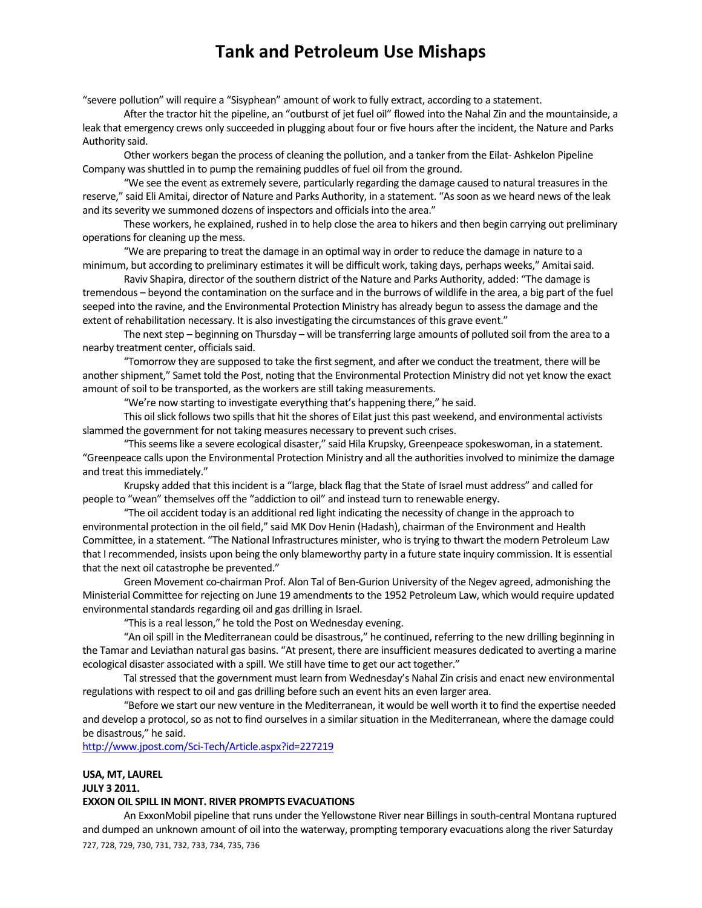"severe pollution" will require a "Sisyphean" amount of work to fully extract, according to a statement.

After the tractor hit the pipeline, an "outburst of jet fuel oil" flowed into the Nahal Zin and the mountainside, a leak that emergency crews only succeeded in plugging about four or five hours after the incident, the Nature and Parks Authority said.

Other workers began the process of cleaning the pollution, and a tanker from the Eilat‐ Ashkelon Pipeline Company was shuttled in to pump the remaining puddles of fuel oil from the ground.

"We see the event as extremely severe, particularly regarding the damage caused to natural treasures in the reserve," said Eli Amitai, director of Nature and Parks Authority, in a statement. "Assoon as we heard news of the leak and its severity we summoned dozens of inspectors and officials into the area."

These workers, he explained, rushed in to help close the area to hikers and then begin carrying out preliminary operations for cleaning up the mess.

"We are preparing to treat the damage in an optimal way in order to reduce the damage in nature to a minimum, but according to preliminary estimates it will be difficult work, taking days, perhaps weeks," Amitai said.

Raviv Shapira, director of the southern district of the Nature and Parks Authority, added: "The damage is tremendous – beyond the contamination on the surface and in the burrows of wildlife in the area, a big part of the fuel seeped into the ravine, and the Environmental Protection Ministry has already begun to assessthe damage and the extent of rehabilitation necessary. It is also investigating the circumstances of this grave event."

The next step – beginning on Thursday – will be transferring large amounts of polluted soil from the area to a nearby treatment center, officials said.

"Tomorrow they are supposed to take the first segment, and after we conduct the treatment, there will be another shipment," Samet told the Post, noting that the Environmental Protection Ministry did not yet know the exact amount of soil to be transported, as the workers are still taking measurements.

"We're now starting to investigate everything that's happening there," he said.

This oil slick follows two spills that hit the shores of Eilat just this past weekend, and environmental activists slammed the government for not taking measures necessary to prevent such crises.

"Thisseemslike a severe ecological disaster," said Hila Krupsky, Greenpeace spokeswoman, in a statement. "Greenpeace calls upon the Environmental Protection Ministry and all the authorities involved to minimize the damage and treat this immediately."

Krupsky added that thisincident is a "large, black flag that the State of Israel must address" and called for people to "wean" themselves off the "addiction to oil" and instead turn to renewable energy.

"The oil accident today is an additional red light indicating the necessity of change in the approach to environmental protection in the oil field," said MK Dov Henin (Hadash), chairman of the Environment and Health Committee, in a statement. "The National Infrastructures minister, who istrying to thwart the modern Petroleum Law that I recommended, insists upon being the only blameworthy party in a future state inquiry commission. It is essential that the next oil catastrophe be prevented."

Green Movement co-chairman Prof. Alon Tal of Ben-Gurion University of the Negev agreed, admonishing the Ministerial Committee for rejecting on June 19 amendments to the 1952 Petroleum Law, which would require updated environmental standards regarding oil and gas drilling in Israel.

"This is a real lesson," he told the Post on Wednesday evening.

"An oil spill in the Mediterranean could be disastrous," he continued, referring to the new drilling beginning in the Tamar and Leviathan natural gas basins. "At present, there are insufficient measures dedicated to averting a marine ecological disaster associated with a spill. We still have time to get our act together."

Tal stressed that the government must learn from Wednesday's Nahal Zin crisis and enact new environmental regulations with respect to oil and gas drilling before such an event hits an even larger area.

"Before we start our new venture in the Mediterranean, it would be well worth it to find the expertise needed and develop a protocol, so as not to find ourselves in a similar situation in the Mediterranean, where the damage could be disastrous," he said.

http://www.jpost.com/Sci‐Tech/Article.aspx?id=227219

#### **USA, MT, LAUREL**

#### **JULY 3 2011.**

#### **EXXON OIL SPILL IN MONT. RIVER PROMPTS EVACUATIONS**

727, 728, 729, 730, 731, 732, 733, 734, 735, 736 An ExxonMobil pipeline that runs under the Yellowstone River near Billings in south-central Montana ruptured and dumped an unknown amount of oil into the waterway, prompting temporary evacuations along the river Saturday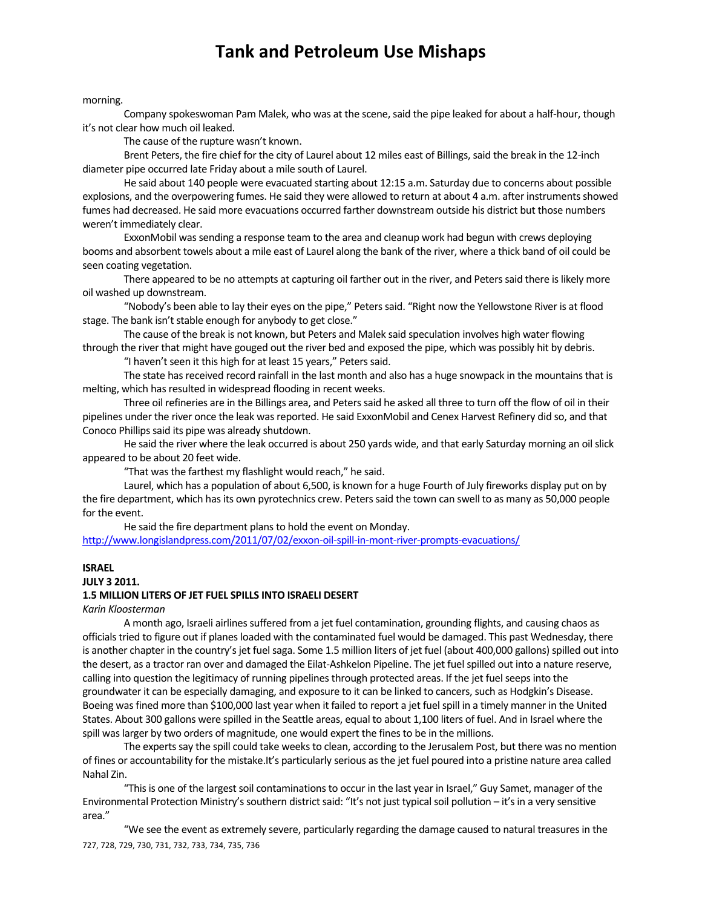morning.

Company spokeswoman Pam Malek, who was at the scene, said the pipe leaked for about a half-hour, though it's not clear how much oil leaked.

The cause of the rupture wasn't known.

Brent Peters, the fire chief for the city of Laurel about 12 miles east of Billings, said the break in the 12‐inch diameter pipe occurred late Friday about a mile south of Laurel.

He said about 140 people were evacuated starting about 12:15 a.m. Saturday due to concerns about possible explosions, and the overpowering fumes. He said they were allowed to return at about 4 a.m. after instruments showed fumes had decreased. He said more evacuations occurred farther downstream outside his district but those numbers weren't immediately clear.

ExxonMobil was sending a response team to the area and cleanup work had begun with crews deploying booms and absorbent towels about a mile east of Laurel along the bank of the river, where a thick band of oil could be seen coating vegetation.

There appeared to be no attempts at capturing oil farther out in the river, and Peters said there is likely more oil washed up downstream.

"Nobody's been able to lay their eyes on the pipe," Peterssaid. "Right now the Yellowstone River is at flood stage. The bank isn't stable enough for anybody to get close."

The cause of the break is not known, but Peters and Malek said speculation involves high water flowing through the river that might have gouged out the river bed and exposed the pipe, which was possibly hit by debris.

"I haven't seen it this high for at least 15 years," Peters said.

The state has received record rainfall in the last month and also has a huge snowpack in the mountains that is melting, which has resulted in widespread flooding in recent weeks.

Three oil refineries are in the Billings area, and Peterssaid he asked all three to turn off the flow of oil in their pipelines under the river once the leak was reported. He said ExxonMobil and Cenex Harvest Refinery did so, and that Conoco Phillips said its pipe was already shutdown.

He said the river where the leak occurred is about 250 yards wide, and that early Saturday morning an oilslick appeared to be about 20 feet wide.

"That was the farthest my flashlight would reach," he said.

Laurel, which has a population of about 6,500, is known for a huge Fourth of July fireworks display put on by the fire department, which hasits own pyrotechnics crew. Peterssaid the town can swell to as many as 50,000 people for the event.

He said the fire department plans to hold the event on Monday. http://www.longislandpress.com/2011/07/02/exxon-oil-spill-in-mont-river-prompts-evacuations/

### **ISRAEL**

**JULY 3 2011.** 

#### **1.5 MILLION LITERS OF JET FUEL SPILLS INTO ISRAELI DESERT**

*Karin Kloosterman*

A month ago, Israeli airlines suffered from a jet fuel contamination, grounding flights, and causing chaos as officials tried to figure out if planes loaded with the contaminated fuel would be damaged. This past Wednesday, there is another chapter in the country's jet fuel saga. Some 1.5 million liters of jet fuel (about 400,000 gallons) spilled out into the desert, as a tractor ran over and damaged the Eilat-Ashkelon Pipeline. The jet fuel spilled out into a nature reserve, calling into question the legitimacy of running pipelines through protected areas. If the jet fuel seeps into the groundwater it can be especially damaging, and exposure to it can be linked to cancers, such as Hodgkin's Disease. Boeing was fined more than \$100,000 last year when it failed to report a jet fuel spill in a timely manner in the United States. About 300 gallons were spilled in the Seattle areas, equal to about 1,100 liters of fuel. And in Israel where the spill was larger by two orders of magnitude, one would expert the fines to be in the millions.

The experts say the spill could take weeks to clean, according to the Jerusalem Post, but there was no mention of fines or accountability for the mistake.It's particularly serious asthe jet fuel poured into a pristine nature area called Nahal Zin.

"This is one of the largest soil contaminations to occur in the last year in Israel," Guy Samet, manager of the Environmental Protection Ministry's southern district said: "It's not just typical soil pollution – it's in a very sensitive area."

727, 728, 729, 730, 731, 732, 733, 734, 735, 736 "We see the event as extremely severe, particularly regarding the damage caused to natural treasures in the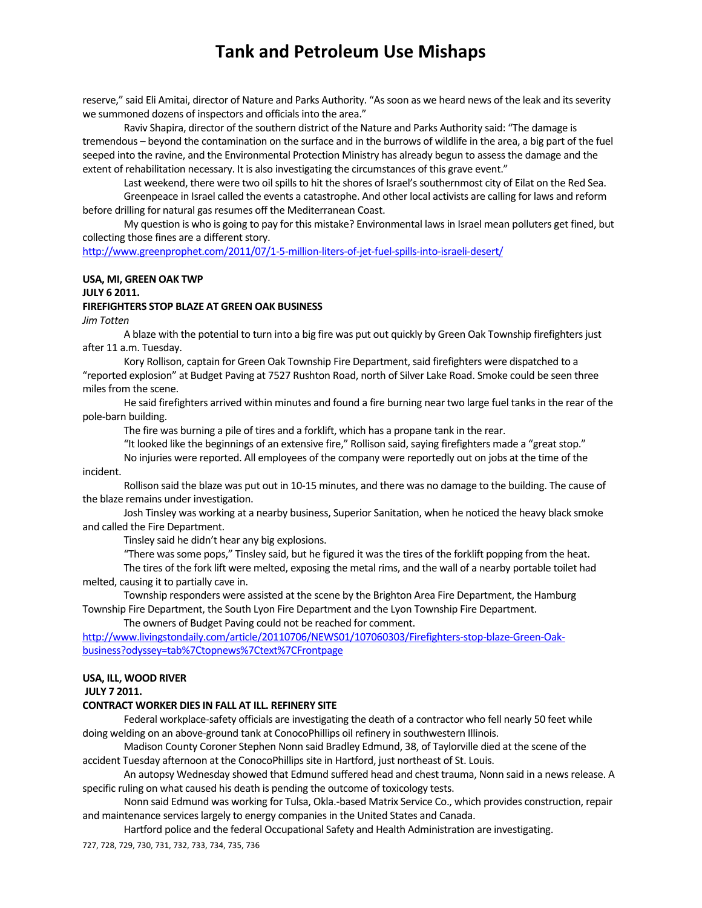reserve," said Eli Amitai, director of Nature and Parks Authority. "As soon as we heard news of the leak and its severity we summoned dozens of inspectors and officials into the area."

Raviv Shapira, director of the southern district of the Nature and Parks Authority said: "The damage is tremendous – beyond the contamination on the surface and in the burrows of wildlife in the area, a big part of the fuel seeped into the ravine, and the Environmental Protection Ministry has already begun to assessthe damage and the extent of rehabilitation necessary. It is also investigating the circumstances of this grave event."

Last weekend, there were two oil spills to hit the shores of Israel's southernmost city of Eilat on the Red Sea. Greenpeace in Israel called the events a catastrophe. And other local activists are calling for laws and reform before drilling for natural gas resumes off the Mediterranean Coast.

My question is who is going to pay for this mistake? Environmental lawsin Israel mean polluters get fined, but collecting those fines are a different story.

http://www.greenprophet.com/2011/07/1-5-million-liters-of-jet-fuel-spills-into-israeli-desert/

## **USA, MI, GREEN OAK TWP JULY 6 2011.**

### **FIREFIGHTERS STOP BLAZE AT GREEN OAK BUSINESS**

*Jim Totten*

A blaze with the potential to turn into a big fire was put out quickly by Green Oak Township firefighters just after 11 a.m. Tuesday.

Kory Rollison, captain for Green Oak Township Fire Department, said firefighters were dispatched to a "reported explosion" at Budget Paving at 7527 Rushton Road, north of Silver Lake Road. Smoke could be seen three miles from the scene.

He said firefighters arrived within minutes and found a fire burning near two large fuel tanksin the rear of the pole‐barn building.

The fire was burning a pile of tires and a forklift, which has a propane tank in the rear.

"It looked like the beginnings of an extensive fire," Rollison said, saying firefighters made a "great stop."

No injuries were reported. All employees of the company were reportedly out on jobs at the time of the incident.

Rollison said the blaze was put out in 10‐15 minutes, and there was no damage to the building. The cause of the blaze remains under investigation.

Josh Tinsley was working at a nearby business, Superior Sanitation, when he noticed the heavy black smoke and called the Fire Department.

Tinsley said he didn't hear any big explosions.

"There wassome pops," Tinsley said, but he figured it wasthe tires of the forklift popping from the heat.

The tires of the fork lift were melted, exposing the metal rims, and the wall of a nearby portable toilet had melted, causing it to partially cave in.

Township responders were assisted at the scene by the Brighton Area Fire Department, the Hamburg Township Fire Department, the South Lyon Fire Department and the Lyon Township Fire Department.

The owners of Budget Paving could not be reached for comment.

http://www.livingstondaily.com/article/20110706/NEWS01/107060303/Firefighters-stop-blaze-Green-Oakbusiness?odyssey=tab%7Ctopnews%7Ctext%7CFrontpage

#### **USA, ILL, WOOD RIVER**

**JULY 7 2011.** 

### **CONTRACT WORKER DIES IN FALL AT ILL. REFINERY SITE**

Federal workplace-safety officials are investigating the death of a contractor who fell nearly 50 feet while doing welding on an above‐ground tank at ConocoPhillips oil refinery in southwestern Illinois.

Madison County Coroner Stephen Nonn said Bradley Edmund, 38, of Taylorville died at the scene of the accident Tuesday afternoon at the ConocoPhillips site in Hartford, just northeast of St. Louis.

An autopsy Wednesday showed that Edmund suffered head and chest trauma, Nonn said in a newsrelease. A specific ruling on what caused his death is pending the outcome of toxicology tests.

Nonn said Edmund was working for Tulsa, Okla.‐based Matrix Service Co., which provides construction, repair and maintenance serviceslargely to energy companiesin the United States and Canada.

727, 728, 729, 730, 731, 732, 733, 734, 735, 736 Hartford police and the federal Occupational Safety and Health Administration are investigating.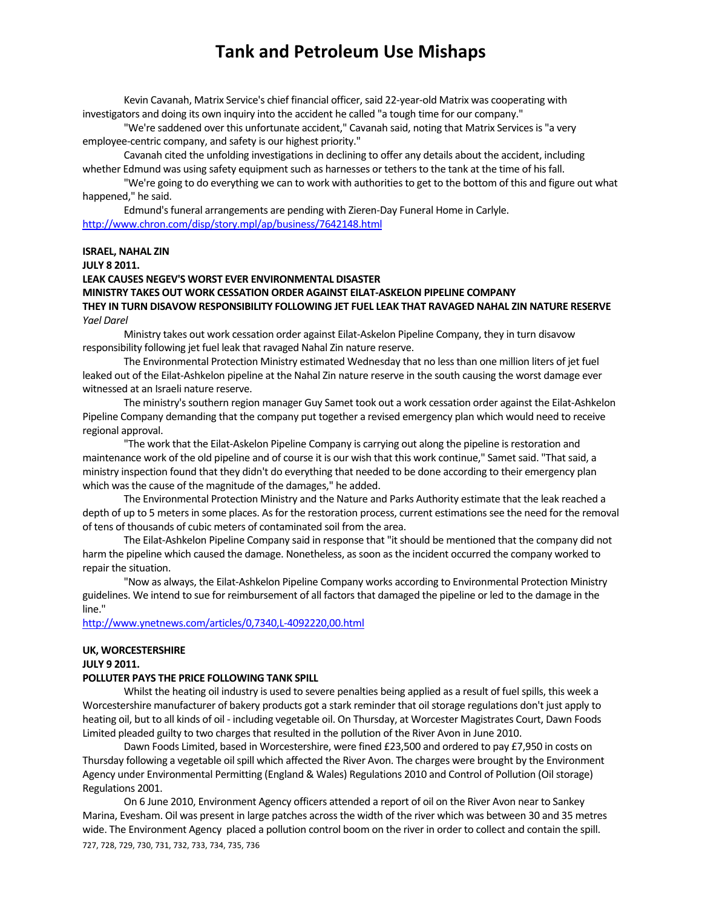Kevin Cavanah, Matrix Service's chief financial officer, said 22-year-old Matrix was cooperating with investigators and doing its own inquiry into the accident he called "a tough time for our company."

"We're saddened over this unfortunate accident," Cavanah said, noting that Matrix Servicesis "a very employee-centric company, and safety is our highest priority."

Cavanah cited the unfolding investigations in declining to offer any details about the accident, including whether Edmund was using safety equipment such as harnesses or tethers to the tank at the time of his fall.

"We're going to do everything we can to work with authorities to get to the bottom of this and figure out what happened," he said.

Edmund's funeral arrangements are pending with Zieren-Day Funeral Home in Carlyle. http://www.chron.com/disp/story.mpl/ap/business/7642148.html

## **ISRAEL, NAHAL ZIN**

### **JULY 8 2011.**

**LEAK CAUSES NEGEV'S WORST EVER ENVIRONMENTAL DISASTER MINISTRY TAKES OUT WORK CESSATION ORDER AGAINST EILAT‐ASKELON PIPELINE COMPANY THEY IN TURN DISAVOW RESPONSIBILITY FOLLOWING JET FUEL LEAK THAT RAVAGED NAHAL ZIN NATURE RESERVE** *Yael Darel*

Ministry takes out work cessation order against Eilat‐Askelon Pipeline Company, they in turn disavow responsibility following jet fuel leak that ravaged Nahal Zin nature reserve.

The Environmental Protection Ministry estimated Wednesday that no lessthan one million liters of jet fuel leaked out of the Eilat‐Ashkelon pipeline at the Nahal Zin nature reserve in the south causing the worst damage ever witnessed at an Israeli nature reserve.

The ministry's southern region manager Guy Samet took out a work cessation order against the Eilat-Ashkelon Pipeline Company demanding that the company put together a revised emergency plan which would need to receive regional approval.

"The work that the Eilat‐Askelon Pipeline Company is carrying out along the pipeline isrestoration and maintenance work of the old pipeline and of course it is our wish that this work continue," Samet said. "That said, a ministry inspection found that they didn't do everything that needed to be done according to their emergency plan which was the cause of the magnitude of the damages," he added.

The Environmental Protection Ministry and the Nature and Parks Authority estimate that the leak reached a depth of up to 5 meters in some places. As for the restoration process, current estimations see the need for the removal of tens of thousands of cubic meters of contaminated soil from the area.

The Eilat-Ashkelon Pipeline Company said in response that "it should be mentioned that the company did not harm the pipeline which caused the damage. Nonetheless, as soon as the incident occurred the company worked to repair the situation.

"Now as always, the Eilat‐Ashkelon Pipeline Company works according to Environmental Protection Ministry guidelines. We intend to sue for reimbursement of all factors that damaged the pipeline or led to the damage in the line."

http://www.ynetnews.com/articles/0,7340,L‐4092220,00.html

## **UK, WORCESTERSHIRE JULY 9 2011.**

#### **POLLUTER PAYS THE PRICE FOLLOWING TANK SPILL**

Whilst the heating oil industry is used to severe penalties being applied as a result of fuel spills, this week a Worcestershire manufacturer of bakery products got a stark reminder that oil storage regulations don't just apply to heating oil, but to all kinds of oil ‐ including vegetable oil. On Thursday, at Worcester Magistrates Court, Dawn Foods Limited pleaded guilty to two charges that resulted in the pollution of the River Avon in June 2010.

Dawn Foods Limited, based in Worcestershire, were fined £23,500 and ordered to pay £7,950 in costs on Thursday following a vegetable oil spill which affected the River Avon. The charges were brought by the Environment Agency under Environmental Permitting (England & Wales) Regulations 2010 and Control of Pollution (Oilstorage) Regulations 2001.

727, 728, 729, 730, 731, 732, 733, 734, 735, 736 On 6 June 2010, Environment Agency officers attended a report of oil on the River Avon near to Sankey Marina, Evesham. Oil was present in large patches acrossthe width of the river which was between 30 and 35 metres wide. The Environment Agency placed a pollution control boom on the river in order to collect and contain the spill.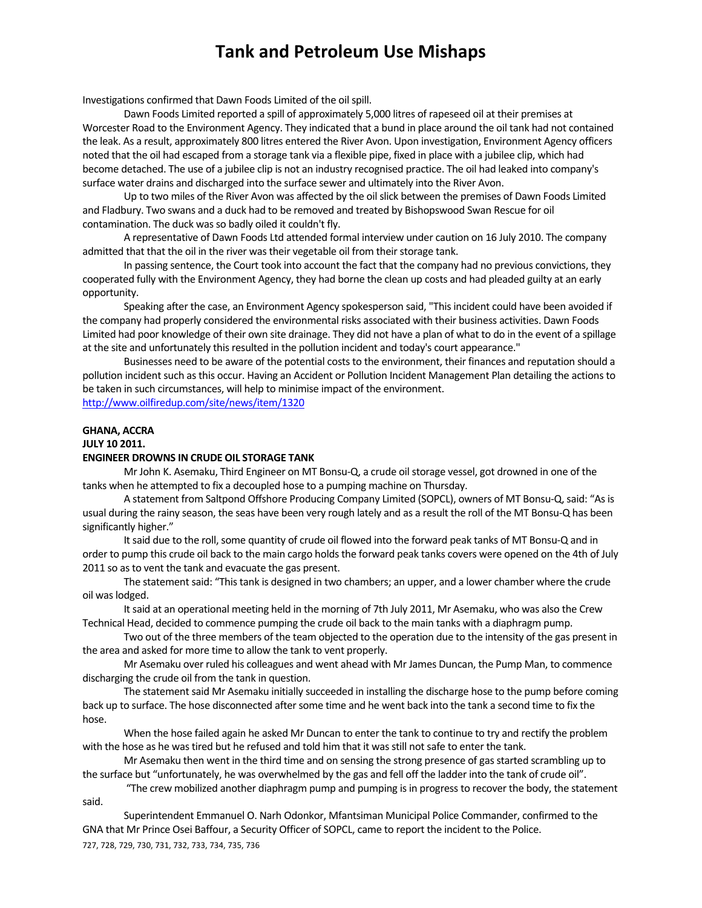Investigations confirmed that Dawn Foods Limited of the oil spill.

Dawn Foods Limited reported a spill of approximately 5,000 litres of rapeseed oil at their premises at Worcester Road to the Environment Agency. They indicated that a bund in place around the oil tank had not contained the leak. As a result, approximately 800 litres entered the River Avon. Upon investigation, Environment Agency officers noted that the oil had escaped from a storage tank via a flexible pipe, fixed in place with a jubilee clip, which had become detached. The use of a jubilee clip is not an industry recognised practice. The oil had leaked into company's surface water drains and discharged into the surface sewer and ultimately into the River Avon.

Up to two miles of the River Avon was affected by the oil slick between the premises of Dawn Foods Limited and Fladbury. Two swans and a duck had to be removed and treated by Bishopswood Swan Rescue for oil contamination. The duck was so badly oiled it couldn't fly.

A representative of Dawn Foods Ltd attended formal interview under caution on 16 July 2010. The company admitted that that the oil in the river was their vegetable oil from their storage tank.

In passing sentence, the Court took into account the fact that the company had no previous convictions, they cooperated fully with the Environment Agency, they had borne the clean up costs and had pleaded guilty at an early opportunity.

Speaking after the case, an Environment Agency spokesperson said, "This incident could have been avoided if the company had properly considered the environmental risks associated with their business activities. Dawn Foods Limited had poor knowledge of their own site drainage. They did not have a plan of what to do in the event of a spillage at the site and unfortunately this resulted in the pollution incident and today's court appearance."

Businesses need to be aware of the potential costs to the environment, their finances and reputation should a pollution incident such as this occur. Having an Accident or Pollution Incident Management Plan detailing the actions to be taken in such circumstances, will help to minimise impact of the environment. http://www.oilfiredup.com/site/news/item/1320

## **GHANA, ACCRA**

### **JULY 10 2011.**

#### **ENGINEER DROWNS IN CRUDE OIL STORAGE TANK**

Mr John K. Asemaku, Third Engineer on MT Bonsu-Q, a crude oil storage vessel, got drowned in one of the tanks when he attempted to fix a decoupled hose to a pumping machine on Thursday.

A statement from Saltpond Offshore Producing Company Limited (SOPCL), owners of MT Bonsu-Q, said: "As is usual during the rainy season, the seas have been very rough lately and as a result the roll of the MT Bonsu-Q has been significantly higher."

It said due to the roll, some quantity of crude oil flowed into the forward peak tanks of MT Bonsu-Q and in order to pump this crude oil back to the main cargo holds the forward peak tanks covers were opened on the 4th of July 2011 so as to vent the tank and evacuate the gas present.

The statement said: "This tank is designed in two chambers; an upper, and a lower chamber where the crude oil was lodged.

It said at an operational meeting held in the morning of 7th July 2011, Mr Asemaku, who was also the Crew Technical Head, decided to commence pumping the crude oil back to the main tanks with a diaphragm pump.

Two out of the three members of the team objected to the operation due to the intensity of the gas present in the area and asked for more time to allow the tank to vent properly.

Mr Asemaku over ruled his colleagues and went ahead with Mr James Duncan, the Pump Man, to commence discharging the crude oil from the tank in question.

The statement said Mr Asemaku initially succeeded in installing the discharge hose to the pump before coming back up to surface. The hose disconnected after some time and he went back into the tank a second time to fix the hose.

When the hose failed again he asked Mr Duncan to enter the tank to continue to try and rectify the problem with the hose as he was tired but he refused and told him that it was still not safe to enter the tank.

Mr Asemaku then went in the third time and on sensing the strong presence of gas started scrambling up to the surface but "unfortunately, he was overwhelmed by the gas and fell off the ladder into the tank of crude oil".

"The crew mobilized another diaphragm pump and pumping is in progress to recover the body, the statement said.

727, 728, 729, 730, 731, 732, 733, 734, 735, 736 Superintendent Emmanuel O. Narh Odonkor, Mfantsiman Municipal Police Commander, confirmed to the GNA that Mr Prince Osei Baffour, a Security Officer of SOPCL, came to report the incident to the Police.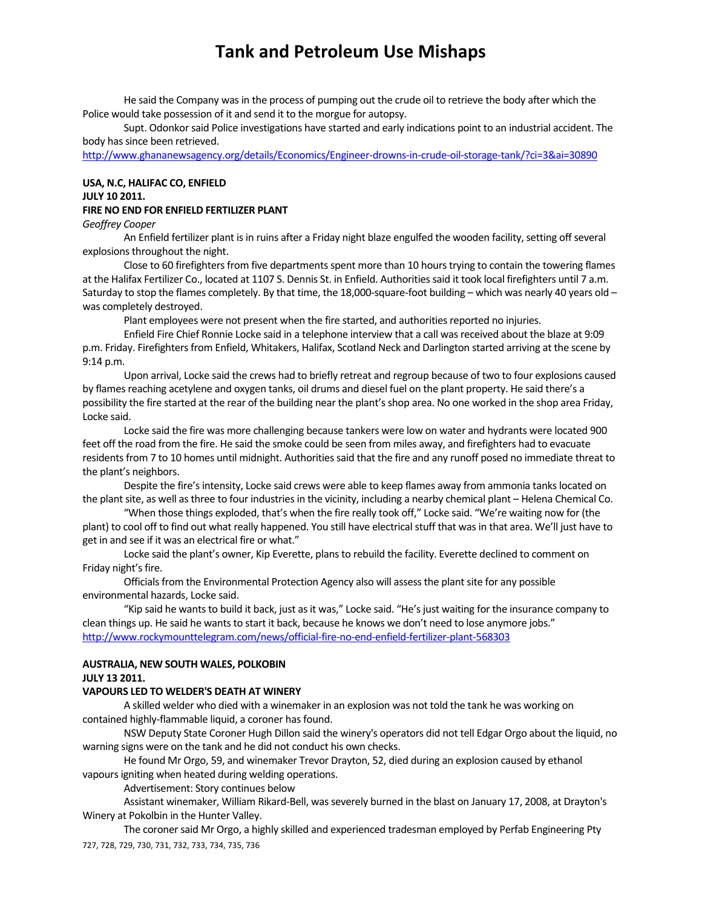He said the Company was in the process of pumping out the crude oil to retrieve the body after which the Police would take possession of it and send it to the morgue for autopsy.

Supt. Odonkor said Police investigations have started and early indications point to an industrial accident. The body has since been retrieved.

http://www.ghananewsagency.org/details/Economics/Engineer‐drowns‐in‐crude‐oil‐storage‐tank/?ci=3&ai=30890

### **USA, N.C, HALIFAC CO, ENFIELD JULY 10 2011. FIRE NO END FOR ENFIELD FERTILIZER PLANT**

### *Geoffrey Cooper*

An Enfield fertilizer plant is in ruins after a Friday night blaze engulfed the wooden facility, setting off several explosions throughout the night.

Close to 60 firefighters from five departments spent more than 10 hours trying to contain the towering flames at the Halifax Fertilizer Co., located at 1107 S. Dennis St. in Enfield. Authoritiessaid it took local firefighters until 7 a.m. Saturday to stop the flames completely. By that time, the 18,000-square-foot building – which was nearly 40 years old – was completely destroyed.

Plant employees were not present when the fire started, and authorities reported no injuries.

Enfield Fire Chief Ronnie Locke said in a telephone interview that a call wasreceived about the blaze at 9:09 p.m. Friday. Firefighters from Enfield, Whitakers, Halifax, Scotland Neck and Darlington started arriving at the scene by 9:14 p.m.

Upon arrival, Locke said the crews had to briefly retreat and regroup because of two to four explosions caused by flames reaching acetylene and oxygen tanks, oil drums and diesel fuel on the plant property. He said there's a possibility the fire started at the rear of the building near the plant's shop area. No one worked in the shop area Friday, Locke said.

Locke said the fire was more challenging because tankers were low on water and hydrants were located 900 feet off the road from the fire. He said the smoke could be seen from miles away, and firefighters had to evacuate residents from 7 to 10 homes until midnight. Authorities said that the fire and any runoff posed no immediate threat to the plant's neighbors.

Despite the fire's intensity, Locke said crews were able to keep flames away from ammonia tanks located on the plant site, as well as three to four industries in the vicinity, including a nearby chemical plant – Helena Chemical Co.

"When those things exploded, that's when the fire really took off," Locke said. "We're waiting now for (the plant) to cool off to find out what really happened. You still have electrical stuff that was in that area. We'll just have to get in and see if it was an electrical fire or what."

Locke said the plant's owner, Kip Everette, plans to rebuild the facility. Everette declined to comment on Friday night's fire.

Officials from the Environmental Protection Agency also will assess the plant site for any possible environmental hazards, Locke said.

"Kip said he wants to build it back, just as it was," Locke said. "He's just waiting for the insurance company to clean things up. He said he wants to start it back, because he knows we don't need to lose anymore jobs." http://www.rockymounttelegram.com/news/official-fire-no-end-enfield-fertilizer-plant-568303

#### **AUSTRALIA, NEW SOUTH WALES, POLKOBIN JULY 13 2011.**

#### **VAPOURS LED TO WELDER'S DEATH AT WINERY**

A skilled welder who died with a winemaker in an explosion was not told the tank he was working on contained highly-flammable liquid, a coroner has found.

NSW Deputy State Coroner Hugh Dillon said the winery's operators did not tell Edgar Orgo about the liquid, no warning signs were on the tank and he did not conduct his own checks.

He found Mr Orgo, 59, and winemaker Trevor Drayton, 52, died during an explosion caused by ethanol vapours igniting when heated during welding operations.

#### Advertisement: Story continues below

Assistant winemaker, William Rikard‐Bell, wasseverely burned in the blast on January 17, 2008, at Drayton's Winery at Pokolbin in the Hunter Valley.

727, 728, 729, 730, 731, 732, 733, 734, 735, 736 The coronersaid Mr Orgo, a highly skilled and experienced tradesman employed by Perfab Engineering Pty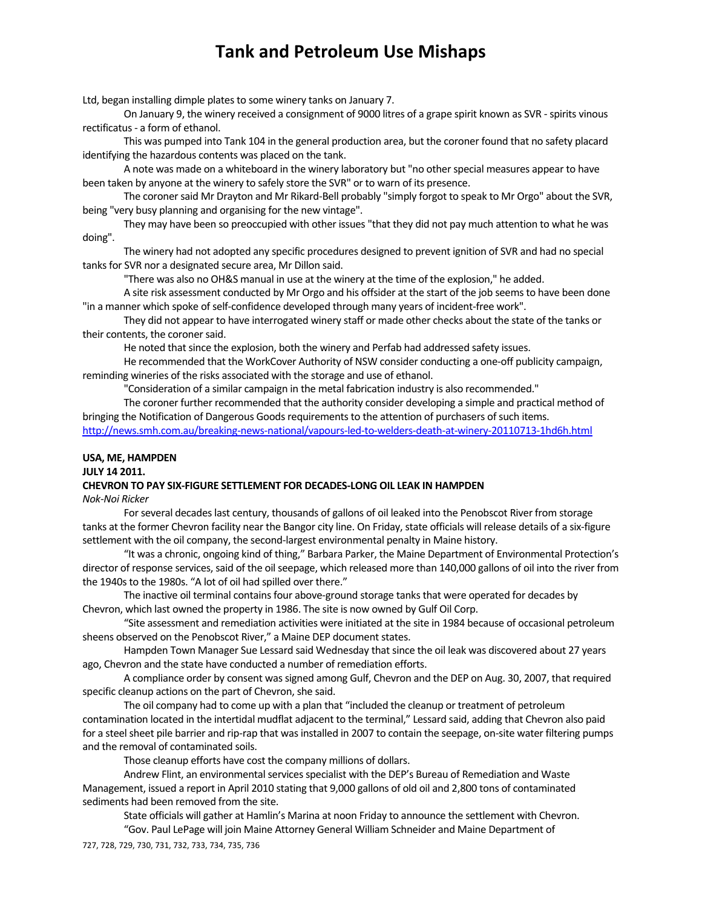Ltd, began installing dimple plates to some winery tanks on January 7.

On January 9, the winery received a consignment of 9000 litres of a grape spirit known as SVR ‐ spirits vinous rectificatus ‐ a form of ethanol.

This was pumped into Tank 104 in the general production area, but the coroner found that no safety placard identifying the hazardous contents was placed on the tank.

A note was made on a whiteboard in the winery laboratory but "no other special measures appear to have been taken by anyone at the winery to safely store the SVR" or to warn of its presence.

The coroner said Mr Drayton and Mr Rikard-Bell probably "simply forgot to speak to Mr Orgo" about the SVR, being "very busy planning and organising for the new vintage".

They may have been so preoccupied with other issues "that they did not pay much attention to what he was doing".

The winery had not adopted any specific procedures designed to prevent ignition of SVR and had no special tanks for SVR nor a designated secure area, Mr Dillon said.

"There was also no OH&S manual in use at the winery at the time of the explosion," he added.

A site risk assessment conducted by Mr Orgo and his offsider at the start of the job seemsto have been done "in a manner which spoke of self-confidence developed through many years of incident-free work".

They did not appear to have interrogated winery staff or made other checks about the state of the tanks or their contents, the coroner said.

He noted that since the explosion, both the winery and Perfab had addressed safety issues.

He recommended that the WorkCover Authority of NSW consider conducting a one‐off publicity campaign, reminding wineries of the risks associated with the storage and use of ethanol.

"Consideration of a similar campaign in the metal fabrication industry is also recommended."

The coroner further recommended that the authority consider developing a simple and practical method of bringing the Notification of Dangerous Goods requirements to the attention of purchasers of such items.

http://news.smh.com.au/breaking‐news‐national/vapours‐led‐to‐welders‐death‐at‐winery‐20110713‐1hd6h.html

#### **USA, ME, HAMPDEN**

#### **JULY 14 2011.**

## **CHEVRON TO PAY SIX‐FIGURE SETTLEMENT FOR DECADES‐LONG OIL LEAK IN HAMPDEN**

*Nok‐Noi Ricker*

For several decades last century, thousands of gallons of oil leaked into the Penobscot River from storage tanks at the former Chevron facility near the Bangor city line. On Friday, state officials will release details of a six-figure settlement with the oil company, the second-largest environmental penalty in Maine history.

"It was a chronic, ongoing kind of thing," Barbara Parker, the Maine Department of Environmental Protection's director of response services, said of the oil seepage, which released more than 140,000 gallons of oil into the river from the 1940s to the 1980s. "A lot of oil had spilled over there."

The inactive oil terminal contains four above-ground storage tanks that were operated for decades by Chevron, which last owned the property in 1986. The site is now owned by Gulf Oil Corp.

"Site assessment and remediation activities were initiated at the site in 1984 because of occasional petroleum sheens observed on the Penobscot River," a Maine DEP document states.

Hampden Town Manager Sue Lessard said Wednesday that since the oil leak was discovered about 27 years ago, Chevron and the state have conducted a number of remediation efforts.

A compliance order by consent wassigned among Gulf, Chevron and the DEP on Aug. 30, 2007, that required specific cleanup actions on the part of Chevron, she said.

The oil company had to come up with a plan that "included the cleanup or treatment of petroleum contamination located in the intertidal mudflat adjacent to the terminal," Lessard said, adding that Chevron also paid for a steel sheet pile barrier and rip-rap that was installed in 2007 to contain the seepage, on-site water filtering pumps and the removal of contaminated soils.

Those cleanup efforts have cost the company millions of dollars.

Andrew Flint, an environmental services specialist with the DEP's Bureau of Remediation and Waste Management, issued a report in April 2010 stating that 9,000 gallons of old oil and 2,800 tons of contaminated sediments had been removed from the site.

State officials will gather at Hamlin's Marina at noon Friday to announce the settlement with Chevron.

727, 728, 729, 730, 731, 732, 733, 734, 735, 736 "Gov. Paul LePage will join Maine Attorney General William Schneider and Maine Department of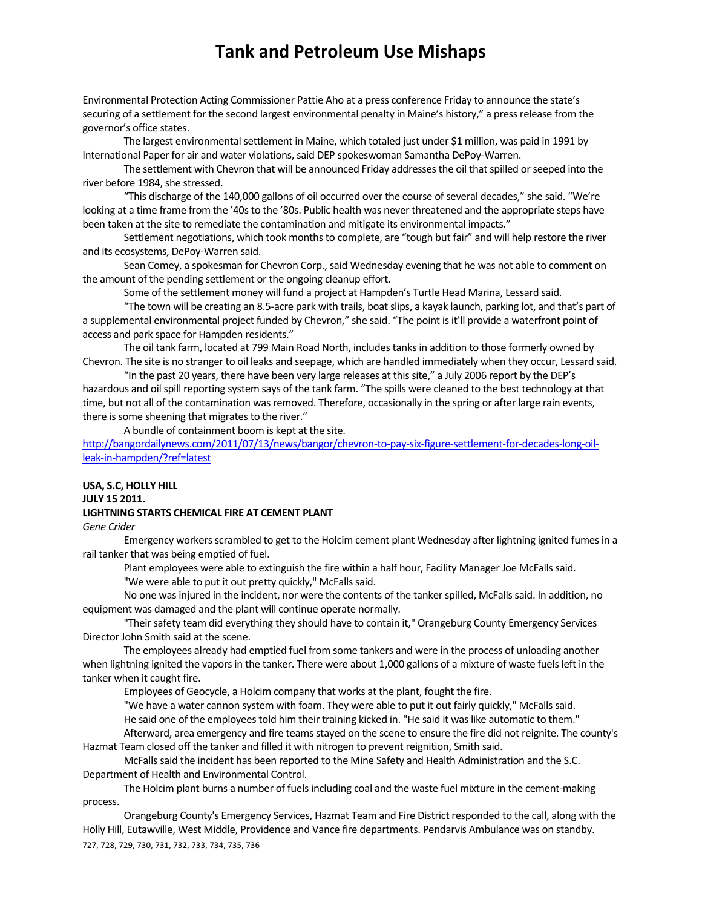Environmental Protection Acting Commissioner Pattie Aho at a press conference Friday to announce the state's securing of a settlement for the second largest environmental penalty in Maine's history," a press release from the governor's office states.

The largest environmental settlement in Maine, which totaled just under \$1 million, was paid in 1991 by International Paper for air and water violations, said DEP spokeswoman Samantha DePoy‐Warren.

The settlement with Chevron that will be announced Friday addresses the oil that spilled or seeped into the river before 1984, she stressed.

"This discharge of the 140,000 gallons of oil occurred over the course of several decades," she said. "We're looking at a time frame from the '40s to the '80s. Public health was never threatened and the appropriate steps have been taken at the site to remediate the contamination and mitigate its environmental impacts."

Settlement negotiations, which took months to complete, are "tough but fair" and will help restore the river and its ecosystems, DePoy‐Warren said.

Sean Comey, a spokesman for Chevron Corp., said Wednesday evening that he was not able to comment on the amount of the pending settlement or the ongoing cleanup effort.

Some of the settlement money will fund a project at Hampden's Turtle Head Marina, Lessard said.

"The town will be creating an 8.5‐acre park with trails, boatslips, a kayak launch, parking lot, and that's part of a supplemental environmental project funded by Chevron," she said. "The point isit'll provide a waterfront point of access and park space for Hampden residents."

The oil tank farm, located at 799 Main Road North, includes tanks in addition to those formerly owned by Chevron. The site is no stranger to oil leaks and seepage, which are handled immediately when they occur, Lessard said.

"In the past 20 years, there have been very large releases at thissite," a July 2006 report by the DEP's hazardous and oilspill reporting system says of the tank farm. "The spills were cleaned to the best technology at that time, but not all of the contamination was removed. Therefore, occasionally in the spring or after large rain events, there is some sheening that migrates to the river."

A bundle of containment boom is kept at the site.

http://bangordailynews.com/2011/07/13/news/bangor/chevron-to-pay-six-figure-settlement-for-decades-long-oilleak‐in‐hampden/?ref=latest

## **USA, S.C, HOLLY HILL JULY 15 2011.**

## **LIGHTNING STARTS CHEMICAL FIRE AT CEMENT PLANT**

#### *Gene Crider*

Emergency workers scrambled to get to the Holcim cement plant Wednesday after lightning ignited fumes in a rail tanker that was being emptied of fuel.

Plant employees were able to extinguish the fire within a half hour, Facility Manager Joe McFalls said. "We were able to put it out pretty quickly," McFalls said.

No one was injured in the incident, nor were the contents of the tanker spilled, McFalls said. In addition, no equipment was damaged and the plant will continue operate normally.

"Their safety team did everything they should have to contain it," Orangeburg County Emergency Services Director John Smith said at the scene.

The employees already had emptied fuel from some tankers and were in the process of unloading another when lightning ignited the vapors in the tanker. There were about 1,000 gallons of a mixture of waste fuels left in the tanker when it caught fire.

Employees of Geocycle, a Holcim company that works at the plant, fought the fire.

"We have a water cannon system with foam. They were able to put it out fairly quickly," McFalls said.

He said one of the employees told him their training kicked in. "He said it was like automatic to them."

Afterward, area emergency and fire teams stayed on the scene to ensure the fire did not reignite. The county's Hazmat Team closed off the tanker and filled it with nitrogen to prevent reignition, Smith said.

McFallssaid the incident has been reported to the Mine Safety and Health Administration and the S.C. Department of Health and Environmental Control.

The Holcim plant burns a number of fuels including coal and the waste fuel mixture in the cement-making process.

727, 728, 729, 730, 731, 732, 733, 734, 735, 736 Orangeburg County's Emergency Services, Hazmat Team and Fire District responded to the call, along with the Holly Hill, Eutawville, West Middle, Providence and Vance fire departments. Pendarvis Ambulance was on standby.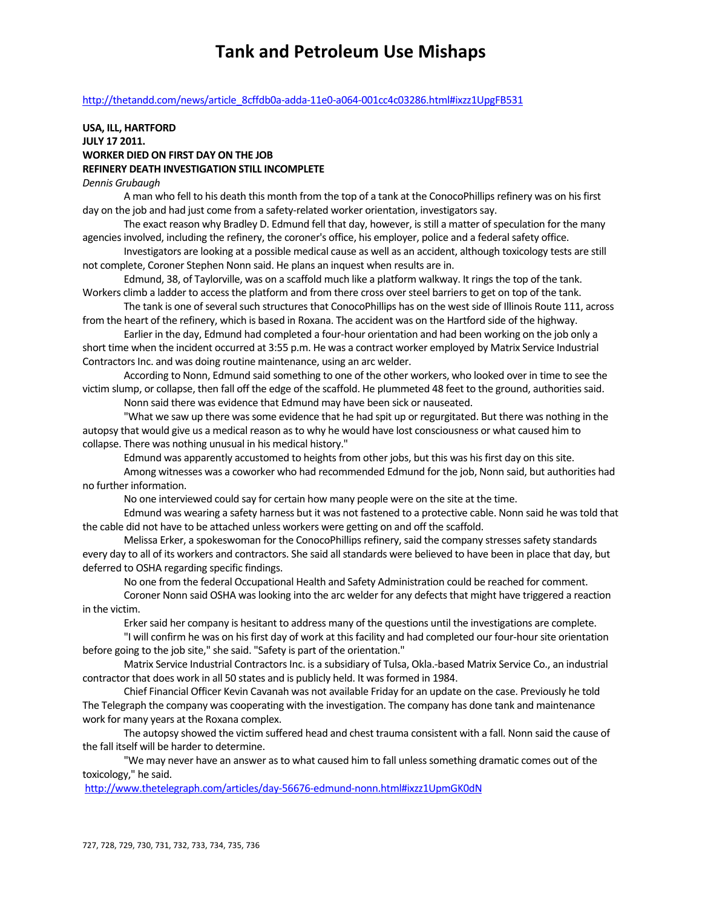#### http://thetandd.com/news/article\_8cffdb0a-adda-11e0-a064-001cc4c03286.html#ixzz1UpgFB531

## **USA, ILL, HARTFORD JULY 17 2011. WORKER DIED ON FIRST DAY ON THE JOB REFINERY DEATH INVESTIGATION STILL INCOMPLETE**

### *Dennis Grubaugh*

A man who fell to his death this month from the top of a tank at the ConocoPhillips refinery was on his first day on the job and had just come from a safety-related worker orientation, investigators say.

The exact reason why Bradley D. Edmund fell that day, however, is still a matter of speculation for the many agencies involved, including the refinery, the coroner's office, his employer, police and a federal safety office.

Investigators are looking at a possible medical cause as well as an accident, although toxicology tests are still not complete, Coroner Stephen Nonn said. He plans an inquest when results are in.

Edmund, 38, of Taylorville, was on a scaffold much like a platform walkway. It ringsthe top of the tank. Workers climb a ladder to access the platform and from there cross over steel barriers to get on top of the tank.

The tank is one of several such structures that ConocoPhillips has on the west side of Illinois Route 111, across from the heart of the refinery, which is based in Roxana. The accident was on the Hartford side of the highway.

Earlier in the day, Edmund had completed a four‐hour orientation and had been working on the job only a short time when the incident occurred at 3:55 p.m. He was a contract worker employed by Matrix Service Industrial Contractors Inc. and was doing routine maintenance, using an arc welder.

According to Nonn, Edmund said something to one of the other workers, who looked over in time to see the victim slump, or collapse, then fall off the edge of the scaffold. He plummeted 48 feet to the ground, authoritiessaid.

Nonn said there was evidence that Edmund may have been sick or nauseated.

"What we saw up there was some evidence that he had spit up or regurgitated. But there was nothing in the autopsy that would give us a medical reason asto why he would have lost consciousness or what caused him to collapse. There was nothing unusual in his medical history."

Edmund was apparently accustomed to heights from other jobs, but this was his first day on this site.

Among witnesses was a coworker who had recommended Edmund for the job, Nonn said, but authorities had no further information.

No one interviewed could say for certain how many people were on the site at the time.

Edmund was wearing a safety harness but it was not fastened to a protective cable. Nonn said he wastold that the cable did not have to be attached unless workers were getting on and off the scaffold.

Melissa Erker, a spokeswoman for the ConocoPhillips refinery, said the company stresses safety standards every day to all of its workers and contractors. She said all standards were believed to have been in place that day, but deferred to OSHA regarding specific findings.

No one from the federal Occupational Health and Safety Administration could be reached for comment.

Coroner Nonn said OSHA was looking into the arc welder for any defects that might have triggered a reaction in the victim.

Erker said her company is hesitant to address many of the questions until the investigations are complete.

"I will confirm he was on his first day of work at this facility and had completed our four-hour site orientation before going to the job site," she said. "Safety is part of the orientation."

Matrix Service Industrial Contractors Inc. is a subsidiary of Tulsa, Okla.‐based Matrix Service Co., an industrial contractor that does work in all 50 states and is publicly held. It wasformed in 1984.

Chief Financial Officer Kevin Cavanah was not available Friday for an update on the case. Previously he told The Telegraph the company was cooperating with the investigation. The company has done tank and maintenance work for many years at the Roxana complex.

The autopsy showed the victim suffered head and chest trauma consistent with a fall. Nonn said the cause of the fall itself will be harder to determine.

"We may never have an answer as to what caused him to fall unless something dramatic comes out of the toxicology," he said.

http://www.thetelegraph.com/articles/day‐56676‐edmund‐nonn.html#ixzz1UpmGK0dN